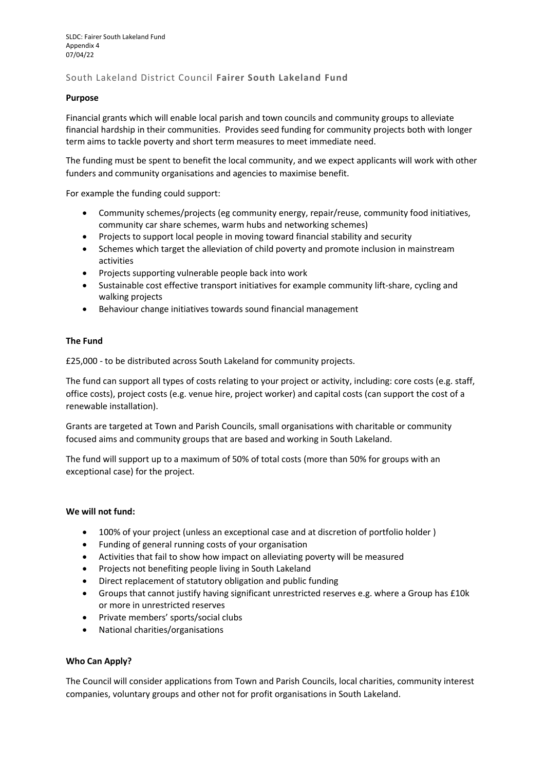# South Lakeland District Council **Fairer South Lakeland Fund**

# **Purpose**

Financial grants which will enable local parish and town councils and community groups to alleviate financial hardship in their communities. Provides seed funding for community projects both with longer term aims to tackle poverty and short term measures to meet immediate need.

The funding must be spent to benefit the local community, and we expect applicants will work with other funders and community organisations and agencies to maximise benefit.

For example the funding could support:

- Community schemes/projects (eg community energy, repair/reuse, community food initiatives, community car share schemes, warm hubs and networking schemes)
- Projects to support local people in moving toward financial stability and security
- Schemes which target the alleviation of child poverty and promote inclusion in mainstream activities
- Projects supporting vulnerable people back into work
- Sustainable cost effective transport initiatives for example community lift-share, cycling and walking projects
- Behaviour change initiatives towards sound financial management

#### **The Fund**

£25,000 - to be distributed across South Lakeland for community projects.

The fund can support all types of costs relating to your project or activity, including: core costs (e.g. staff, office costs), project costs (e.g. venue hire, project worker) and capital costs (can support the cost of a renewable installation).

Grants are targeted at Town and Parish Councils, small organisations with charitable or community focused aims and community groups that are based and working in South Lakeland.

The fund will support up to a maximum of 50% of total costs (more than 50% for groups with an exceptional case) for the project.

#### **We will not fund:**

- 100% of your project (unless an exceptional case and at discretion of portfolio holder )
- Funding of general running costs of your organisation
- Activities that fail to show how impact on alleviating poverty will be measured
- Projects not benefiting people living in South Lakeland
- Direct replacement of statutory obligation and public funding
- Groups that cannot justify having significant unrestricted reserves e.g. where a Group has £10k or more in unrestricted reserves
- Private members' sports/social clubs
- National charities/organisations

# **Who Can Apply?**

The Council will consider applications from Town and Parish Councils, local charities, community interest companies, voluntary groups and other not for profit organisations in South Lakeland.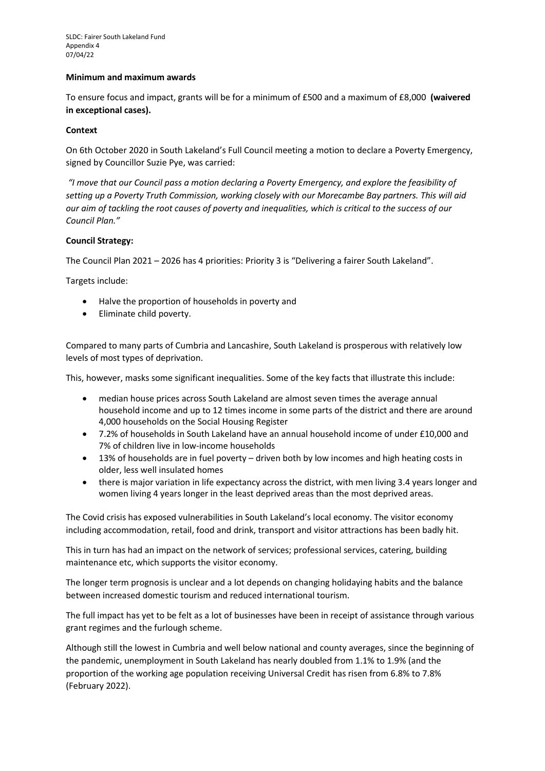#### **Minimum and maximum awards**

To ensure focus and impact, grants will be for a minimum of £500 and a maximum of £8,000 **(waivered in exceptional cases).**

### **Context**

On 6th October 2020 in South Lakeland's Full Council meeting a motion to declare a Poverty Emergency, signed by Councillor Suzie Pye, was carried:

*"I move that our Council pass a motion declaring a Poverty Emergency, and explore the feasibility of setting up a Poverty Truth Commission, working closely with our Morecambe Bay partners. This will aid our aim of tackling the root causes of poverty and inequalities, which is critical to the success of our Council Plan."* 

#### **Council Strategy:**

The Council Plan 2021 – 2026 has 4 priorities: Priority 3 is "Delivering a fairer South Lakeland".

Targets include:

- Halve the proportion of households in poverty and
- Eliminate child poverty.

Compared to many parts of Cumbria and Lancashire, South Lakeland is prosperous with relatively low levels of most types of deprivation.

This, however, masks some significant inequalities. Some of the key facts that illustrate this include:

- median house prices across South Lakeland are almost seven times the average annual household income and up to 12 times income in some parts of the district and there are around 4,000 households on the Social Housing Register
- 7.2% of households in South Lakeland have an annual household income of under £10,000 and 7% of children live in low-income households
- 13% of households are in fuel poverty driven both by low incomes and high heating costs in older, less well insulated homes
- there is major variation in life expectancy across the district, with men living 3.4 years longer and women living 4 years longer in the least deprived areas than the most deprived areas.

The Covid crisis has exposed vulnerabilities in South Lakeland's local economy. The visitor economy including accommodation, retail, food and drink, transport and visitor attractions has been badly hit.

This in turn has had an impact on the network of services; professional services, catering, building maintenance etc, which supports the visitor economy.

The longer term prognosis is unclear and a lot depends on changing holidaying habits and the balance between increased domestic tourism and reduced international tourism.

The full impact has yet to be felt as a lot of businesses have been in receipt of assistance through various grant regimes and the furlough scheme.

Although still the lowest in Cumbria and well below national and county averages, since the beginning of the pandemic, unemployment in South Lakeland has nearly doubled from 1.1% to 1.9% (and the proportion of the working age population receiving Universal Credit has risen from 6.8% to 7.8% (February 2022).